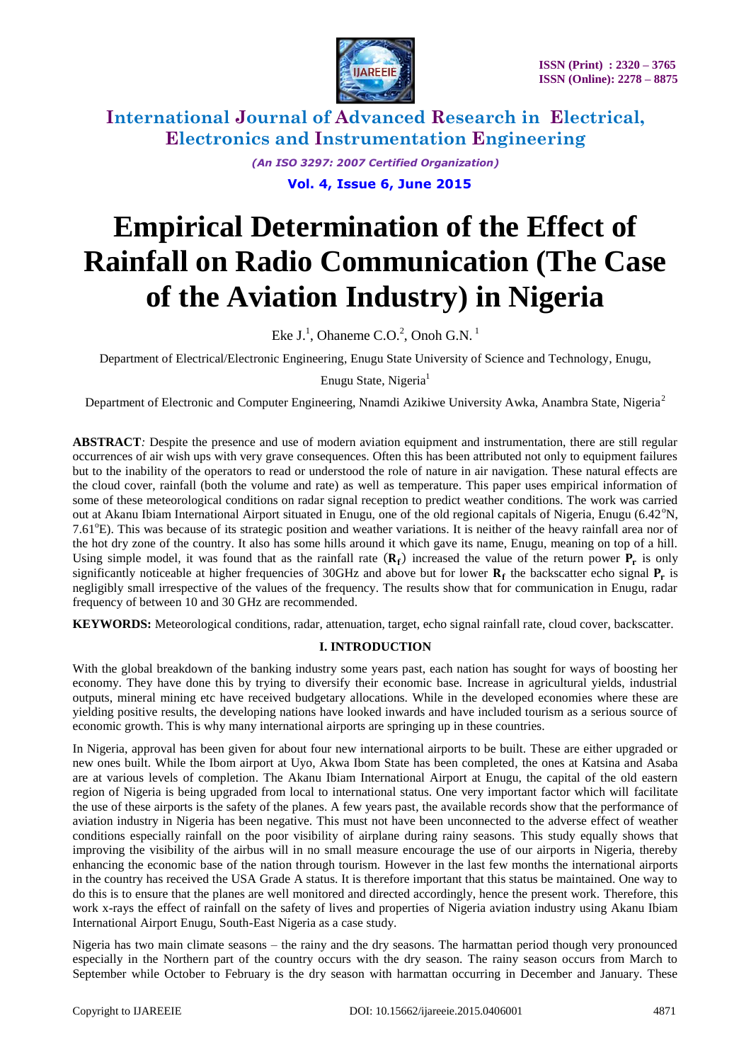

> *(An ISO 3297: 2007 Certified Organization)*  **Vol. 4, Issue 6, June 2015**

# **Empirical Determination of the Effect of Rainfall on Radio Communication (The Case of the Aviation Industry) in Nigeria**

Eke  $J<sup>1</sup>$ , Ohaneme C.O.<sup>2</sup>, Onoh G.N.<sup>1</sup>

Department of Electrical/Electronic Engineering, Enugu State University of Science and Technology, Enugu,

Enugu State, Nigeria<sup>1</sup>

Department of Electronic and Computer Engineering, Nnamdi Azikiwe University Awka, Anambra State, Nigeria<sup>2</sup>

**ABSTRACT***:* Despite the presence and use of modern aviation equipment and instrumentation, there are still regular occurrences of air wish ups with very grave consequences. Often this has been attributed not only to equipment failures but to the inability of the operators to read or understood the role of nature in air navigation. These natural effects are the cloud cover, rainfall (both the volume and rate) as well as temperature. This paper uses empirical information of some of these meteorological conditions on radar signal reception to predict weather conditions. The work was carried out at Akanu Ibiam International Airport situated in Enugu, one of the old regional capitals of Nigeria, Enugu (6.42 $\rm{°N}$ , 7.61<sup>o</sup>E). This was because of its strategic position and weather variations. It is neither of the heavy rainfall area nor of the hot dry zone of the country. It also has some hills around it which gave its name, Enugu, meaning on top of a hill. Using simple model, it was found that as the rainfall rate  $(R_f)$  increased the value of the return power  $P_r$  is only significantly noticeable at higher frequencies of 30GHz and above but for lower  $R_f$  the backscatter echo signal  $P_r$  is negligibly small irrespective of the values of the frequency. The results show that for communication in Enugu, radar frequency of between 10 and 30 GHz are recommended.

**KEYWORDS:** Meteorological conditions, radar, attenuation, target, echo signal rainfall rate, cloud cover, backscatter.

#### **I. INTRODUCTION**

With the global breakdown of the banking industry some years past, each nation has sought for ways of boosting her economy. They have done this by trying to diversify their economic base. Increase in agricultural yields, industrial outputs, mineral mining etc have received budgetary allocations. While in the developed economies where these are yielding positive results, the developing nations have looked inwards and have included tourism as a serious source of economic growth. This is why many international airports are springing up in these countries.

In Nigeria, approval has been given for about four new international airports to be built. These are either upgraded or new ones built. While the Ibom airport at Uyo, Akwa Ibom State has been completed, the ones at Katsina and Asaba are at various levels of completion. The Akanu Ibiam International Airport at Enugu, the capital of the old eastern region of Nigeria is being upgraded from local to international status. One very important factor which will facilitate the use of these airports is the safety of the planes. A few years past, the available records show that the performance of aviation industry in Nigeria has been negative. This must not have been unconnected to the adverse effect of weather conditions especially rainfall on the poor visibility of airplane during rainy seasons. This study equally shows that improving the visibility of the airbus will in no small measure encourage the use of our airports in Nigeria, thereby enhancing the economic base of the nation through tourism. However in the last few months the international airports in the country has received the USA Grade A status. It is therefore important that this status be maintained. One way to do this is to ensure that the planes are well monitored and directed accordingly, hence the present work. Therefore, this work x-rays the effect of rainfall on the safety of lives and properties of Nigeria aviation industry using Akanu Ibiam International Airport Enugu, South-East Nigeria as a case study.

Nigeria has two main climate seasons – the rainy and the dry seasons. The harmattan period though very pronounced especially in the Northern part of the country occurs with the dry season. The rainy season occurs from March to September while October to February is the dry season with harmattan occurring in December and January. These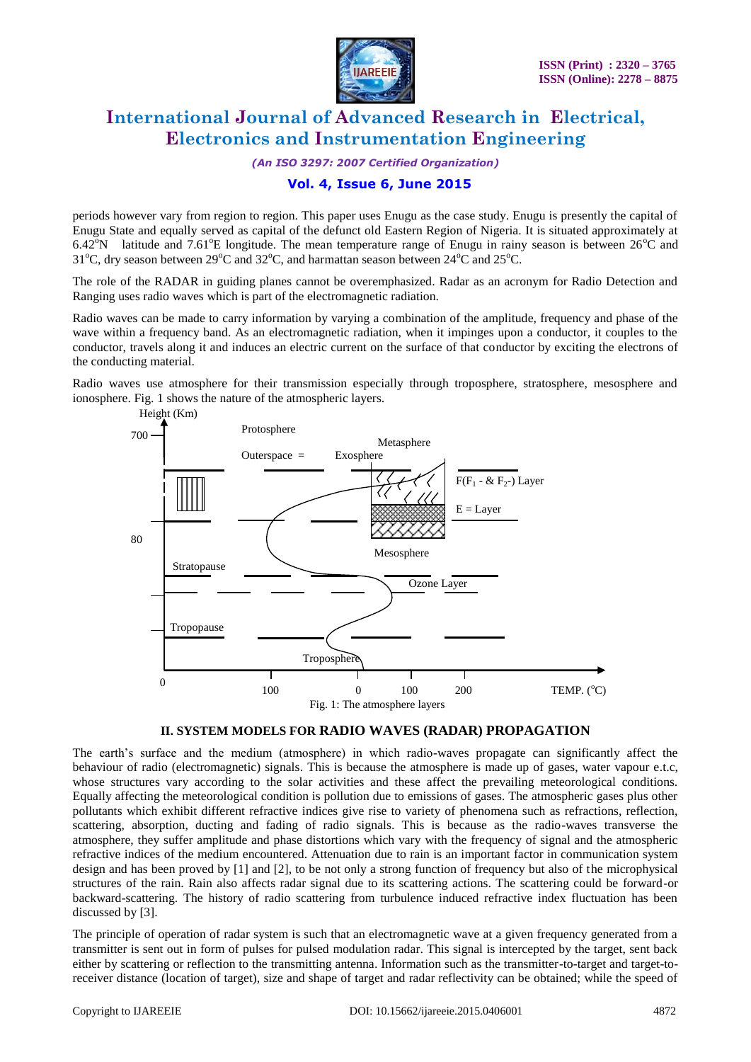

*(An ISO 3297: 2007 Certified Organization)*

### **Vol. 4, Issue 6, June 2015**

periods however vary from region to region. This paper uses Enugu as the case study. Enugu is presently the capital of Enugu State and equally served as capital of the defunct old Eastern Region of Nigeria. It is situated approximately at 6.42<sup>o</sup>N latitude and 7.61<sup>o</sup>E longitude. The mean temperature range of Enugu in rainy season is between 26<sup>o</sup>C and 31<sup>o</sup>C, dry season between 29<sup>o</sup>C and 32<sup>o</sup>C, and harmattan season between 24<sup>o</sup>C and 25<sup>o</sup>C.

The role of the RADAR in guiding planes cannot be overemphasized. Radar as an acronym for Radio Detection and Ranging uses radio waves which is part of the electromagnetic radiation.

Radio waves can be made to carry information by varying a combination of the amplitude, frequency and phase of the wave within a frequency band. As an electromagnetic radiation, when it impinges upon a conductor, it couples to the conductor, travels along it and induces an electric current on the surface of that conductor by exciting the electrons of the conducting material.

Radio waves use atmosphere for their transmission especially through troposphere, stratosphere, mesosphere and ionosphere. Fig. 1 shows the nature of the atmospheric layers.



#### **II. SYSTEM MODELS FOR RADIO WAVES (RADAR) PROPAGATION**

The earth's surface and the medium (atmosphere) in which radio-waves propagate can significantly affect the behaviour of radio (electromagnetic) signals. This is because the atmosphere is made up of gases, water vapour e.t.c, whose structures vary according to the solar activities and these affect the prevailing meteorological conditions. Equally affecting the meteorological condition is pollution due to emissions of gases. The atmospheric gases plus other pollutants which exhibit different refractive indices give rise to variety of phenomena such as refractions, reflection, scattering, absorption, ducting and fading of radio signals. This is because as the radio-waves transverse the atmosphere, they suffer amplitude and phase distortions which vary with the frequency of signal and the atmospheric refractive indices of the medium encountered. Attenuation due to rain is an important factor in communication system design and has been proved by [1] and [2], to be not only a strong function of frequency but also of the microphysical structures of the rain. Rain also affects radar signal due to its scattering actions. The scattering could be forward-or backward-scattering. The history of radio scattering from turbulence induced refractive index fluctuation has been discussed by [3].

The principle of operation of radar system is such that an electromagnetic wave at a given frequency generated from a transmitter is sent out in form of pulses for pulsed modulation radar. This signal is intercepted by the target, sent back either by scattering or reflection to the transmitting antenna. Information such as the transmitter-to-target and target-toreceiver distance (location of target), size and shape of target and radar reflectivity can be obtained; while the speed of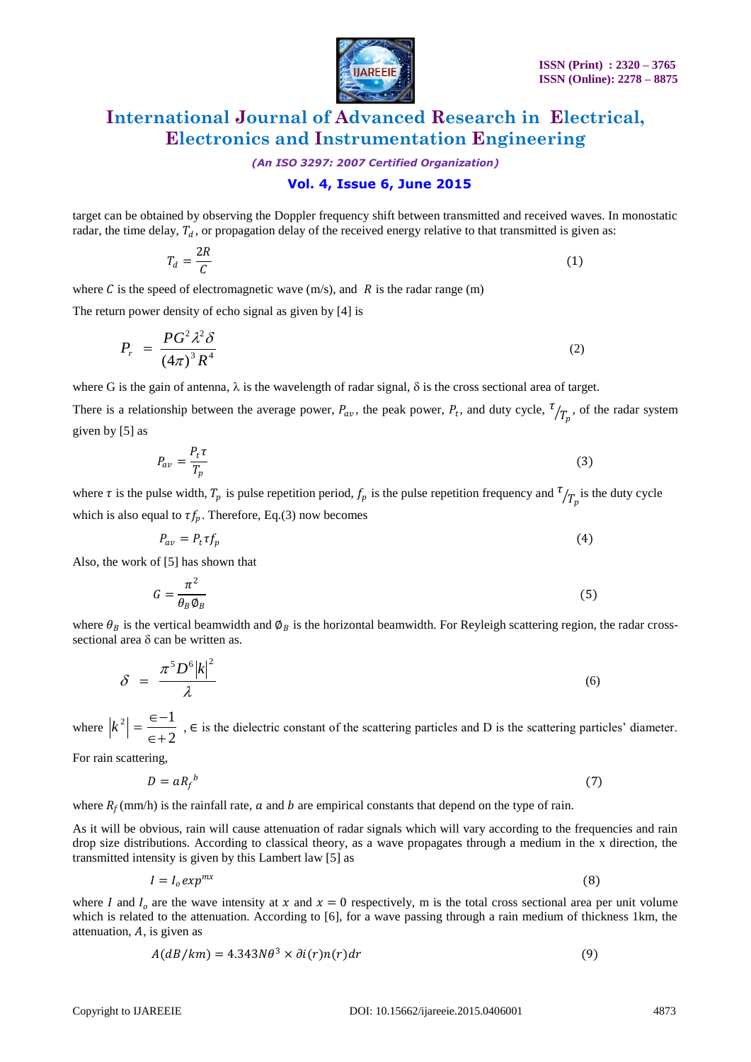

*(An ISO 3297: 2007 Certified Organization)*

#### **Vol. 4, Issue 6, June 2015**

target can be obtained by observing the Doppler frequency shift between transmitted and received waves. In monostatic radar, the time delay,  $T_d$ , or propagation delay of the received energy relative to that transmitted is given as:

$$
T_d = \frac{2R}{C} \tag{1}
$$

where C is the speed of electromagnetic wave  $(m/s)$ , and R is the radar range  $(m)$ 

The return power density of echo signal as given by [4] is

$$
P_r = \frac{PG^2 \lambda^2 \delta}{\left(4\pi\right)^3 R^4} \tag{2}
$$

where G is the gain of antenna,  $\lambda$  is the wavelength of radar signal,  $\delta$  is the cross sectional area of target.

There is a relationship between the average power,  $P_{av}$ , the peak power,  $P_t$ , and duty cycle,  $\frac{\tau}{T_p}$ , of the radar system given by [5] as

$$
P_{av} = \frac{P_t \tau}{T_p} \tag{3}
$$

where  $\tau$  is the pulse width,  $T_p$  is pulse repetition period,  $f_p$  is the pulse repetition frequency and  $\tau/T_p$  is the duty cycle which is also equal to  $\tau f_p$ . Therefore, Eq.(3) now becomes

$$
P_{av} = P_t \tau f_p \tag{4}
$$

Also, the work of [5] has shown that

$$
G = \frac{\pi^2}{\theta_B \phi_B} \tag{5}
$$

where  $\theta_B$  is the vertical beamwidth and  $\phi_B$  is the horizontal beamwidth. For Reyleigh scattering region, the radar crosssectional area  $\delta$  can be written as.

$$
\delta = \frac{\pi^5 D^6 |k|^2}{\lambda} \tag{6}
$$

where  $|k^2| = \frac{2}{\epsilon + 2}$  $\vert 2 \vert - \epsilon - 1$  $\in +$  $k^2 = \frac{\epsilon - 1}{2}$ ,  $\epsilon$  is the dielectric constant of the scattering particles and D is the scattering particles' diameter.

For rain scattering,

$$
D = a R_f^{\ b} \tag{7}
$$

where  $R_f$ (mm/h) is the rainfall rate,  $a$  and  $b$  are empirical constants that depend on the type of rain.

As it will be obvious, rain will cause attenuation of radar signals which will vary according to the frequencies and rain drop size distributions. According to classical theory, as a wave propagates through a medium in the x direction, the transmitted intensity is given by this Lambert law [5] as

$$
I = I_0 exp^{mx} \tag{8}
$$

where I and  $I_0$  are the wave intensity at x and  $x = 0$  respectively, m is the total cross sectional area per unit volume which is related to the attenuation. According to [6], for a wave passing through a rain medium of thickness 1km, the attenuation,  $A$ , is given as

$$
A(dB/km) = 4.343N\theta^3 \times \partial i(r)n(r)dr
$$
\n(9)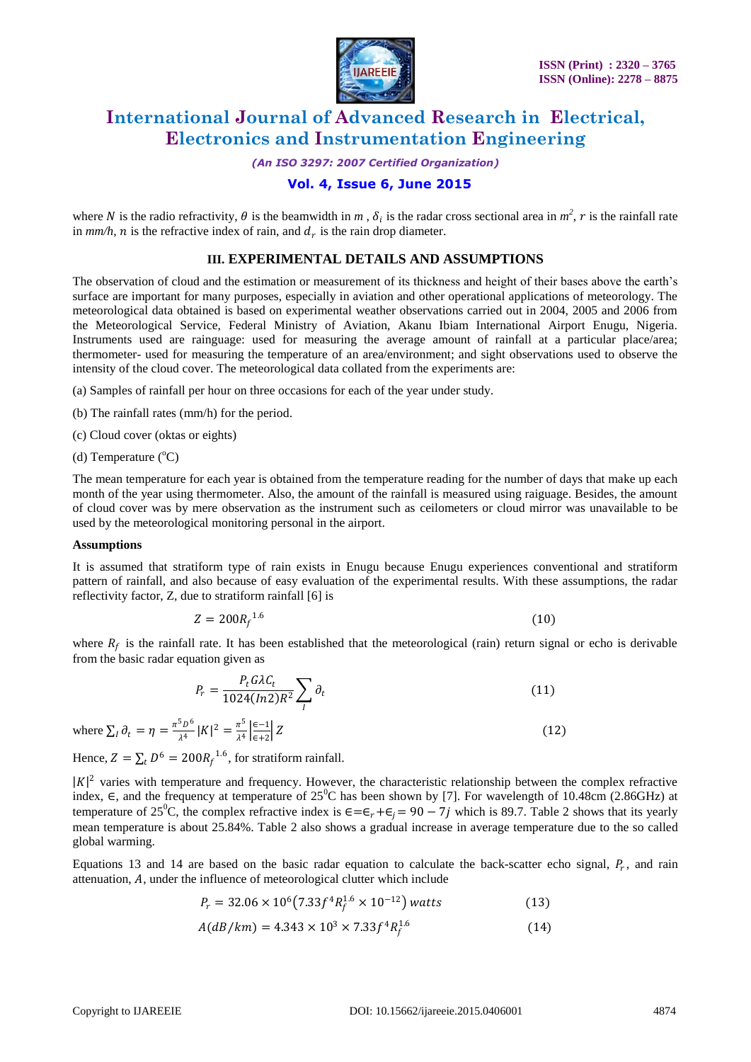

*(An ISO 3297: 2007 Certified Organization)*

### **Vol. 4, Issue 6, June 2015**

where N is the radio refractivity,  $\theta$  is the beamwidth in  $m$ ,  $\delta_i$  is the radar cross sectional area in  $m^2$ , r is the rainfall rate in  $mm/h$ , *n* is the refractive index of rain, and  $d_r$  is the rain drop diameter.

#### **III. EXPERIMENTAL DETAILS AND ASSUMPTIONS**

The observation of cloud and the estimation or measurement of its thickness and height of their bases above the earth's surface are important for many purposes, especially in aviation and other operational applications of meteorology. The meteorological data obtained is based on experimental weather observations carried out in 2004, 2005 and 2006 from the Meteorological Service, Federal Ministry of Aviation, Akanu Ibiam International Airport Enugu, Nigeria. Instruments used are rainguage: used for measuring the average amount of rainfall at a particular place/area; thermometer- used for measuring the temperature of an area/environment; and sight observations used to observe the intensity of the cloud cover. The meteorological data collated from the experiments are:

- (a) Samples of rainfall per hour on three occasions for each of the year under study.
- (b) The rainfall rates (mm/h) for the period.
- (c) Cloud cover (oktas or eights)
- (d) Temperature  $(^{\circ}C)$

The mean temperature for each year is obtained from the temperature reading for the number of days that make up each month of the year using thermometer. Also, the amount of the rainfall is measured using raiguage. Besides, the amount of cloud cover was by mere observation as the instrument such as ceilometers or cloud mirror was unavailable to be used by the meteorological monitoring personal in the airport.

#### **Assumptions**

It is assumed that stratiform type of rain exists in Enugu because Enugu experiences conventional and stratiform pattern of rainfall, and also because of easy evaluation of the experimental results. With these assumptions, the radar reflectivity factor, Z, due to stratiform rainfall [6] is

$$
Z = 200R_f^{1.6} \tag{10}
$$

where  $R_f$  is the rainfall rate. It has been established that the meteorological (rain) return signal or echo is derivable from the basic radar equation given as

$$
P_r = \frac{P_t G \lambda C_t}{1024 (ln 2) R^2} \sum_l \partial_t \tag{11}
$$

where  $\sum_{l} \partial_{t} = \eta = \frac{\pi^{5} D^{6}}{14}$  $_{I} \partial_{t} = \eta = \frac{\pi^{5} D^{6}}{\lambda^{4}} |K|^{2} = \frac{\pi^{5}}{\lambda^{4}}$  $\frac{\pi^5}{\lambda^4}$  $\left| \frac{\epsilon - 1}{\epsilon + 2} \right|$ ∈+2  $\boxed{Z} \tag{12}$ 

Hence,  $Z = \sum_t D^6 = 200 R_f^{-1.6}$ , for stratiform rainfall.

 $|K|^2$  varies with temperature and frequency. However, the characteristic relationship between the complex refractive index,  $\epsilon$ , and the frequency at temperature of 25<sup>0</sup>C has been shown by [7]. For wavelength of 10.48cm (2.86GHz) at temperature of 25<sup>0</sup>C, the complex refractive index is  $\epsilon = \epsilon_r + \epsilon_i = 90 - 7j$  which is 89.7. Table 2 shows that its yearly mean temperature is about 25.84%. Table 2 also shows a gradual increase in average temperature due to the so called global warming.

Equations 13 and 14 are based on the basic radar equation to calculate the back-scatter echo signal,  $P_r$ , and rain attenuation,  $A$ , under the influence of meteorological clutter which include

$$
P_r = 32.06 \times 10^6 (7.33 f^4 R_f^{1.6} \times 10^{-12})
$$
 watts (13)

$$
A(dB/km) = 4.343 \times 10^3 \times 7.33f^4R_f^{1.6}
$$
 (14)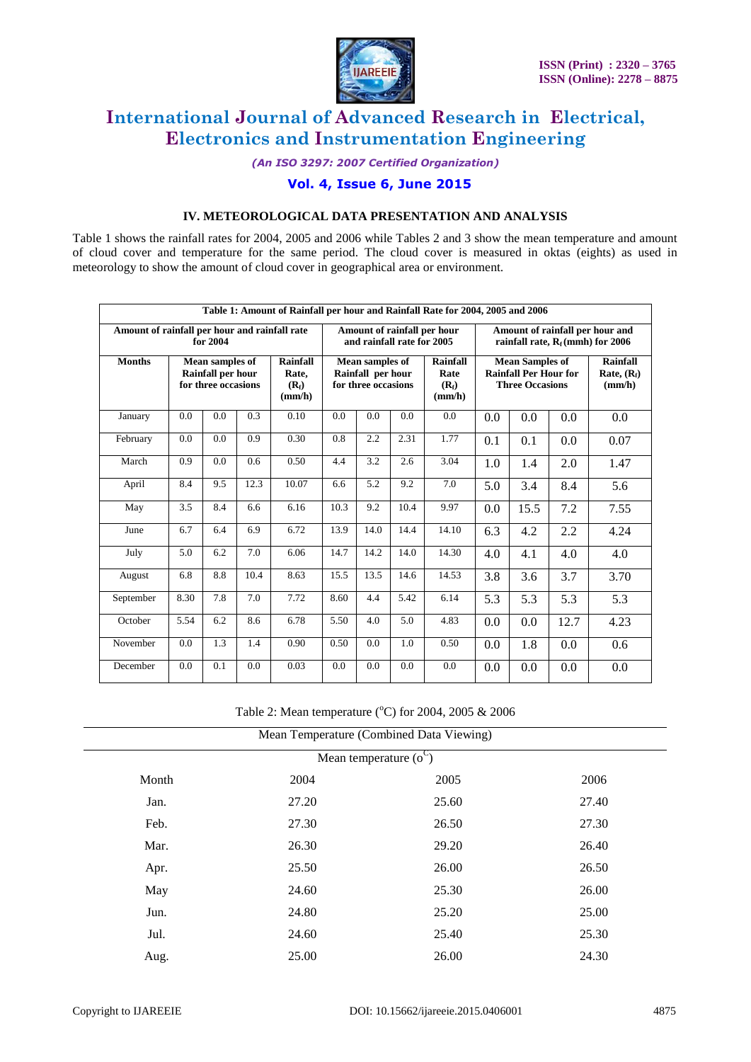

*(An ISO 3297: 2007 Certified Organization)*

### **Vol. 4, Issue 6, June 2015**

#### **IV. METEOROLOGICAL DATA PRESENTATION AND ANALYSIS**

Table 1 shows the rainfall rates for 2004, 2005 and 2006 while Tables 2 and 3 show the mean temperature and amount of cloud cover and temperature for the same period. The cloud cover is measured in oktas (eights) as used in meteorology to show the amount of cloud cover in geographical area or environment.

| Table 1: Amount of Rainfall per hour and Rainfall Rate for 2004, 2005 and 2006 |                                                                    |     |                                        |                                                             |      |                                       |                                                                                  |                             |                                            |                                                                        |      |      |  |
|--------------------------------------------------------------------------------|--------------------------------------------------------------------|-----|----------------------------------------|-------------------------------------------------------------|------|---------------------------------------|----------------------------------------------------------------------------------|-----------------------------|--------------------------------------------|------------------------------------------------------------------------|------|------|--|
| Amount of rainfall per hour and rainfall rate<br>for 2004                      |                                                                    |     |                                        |                                                             |      |                                       | and rainfall rate for 2005                                                       | Amount of rainfall per hour |                                            | Amount of rainfall per hour and<br>rainfall rate, $R_f$ (mmh) for 2006 |      |      |  |
| <b>Months</b>                                                                  | Mean samples of<br><b>Rainfall per hour</b><br>for three occasions |     | Rainfall<br>Rate,<br>$(R_f)$<br>(mm/h) | Mean samples of<br>Rainfall per hour<br>for three occasions |      | Rainfall<br>Rate<br>$(R_f)$<br>(mm/h) | <b>Mean Samples of</b><br><b>Rainfall Per Hour for</b><br><b>Three Occasions</b> |                             | <b>Rainfall</b><br>Rate, $(R_f)$<br>(mm/h) |                                                                        |      |      |  |
| January                                                                        | 0.0                                                                | 0.0 | 0.3                                    | 0.10                                                        | 0.0  | 0.0                                   | 0.0                                                                              | 0.0                         | 0.0                                        | 0.0                                                                    | 0.0  | 0.0  |  |
| February                                                                       | 0.0                                                                | 0.0 | 0.9                                    | 0.30                                                        | 0.8  | 2.2                                   | 2.31                                                                             | 1.77                        | 0.1                                        | 0.1                                                                    | 0.0  | 0.07 |  |
| March                                                                          | 0.9                                                                | 0.0 | 0.6                                    | 0.50                                                        | 4.4  | 3.2                                   | 2.6                                                                              | 3.04                        | 1.0                                        | 1.4                                                                    | 2.0  | 1.47 |  |
| April                                                                          | 8.4                                                                | 9.5 | 12.3                                   | 10.07                                                       | 6.6  | 5.2                                   | 9.2                                                                              | 7.0                         | 5.0                                        | 3.4                                                                    | 8.4  | 5.6  |  |
| May                                                                            | 3.5                                                                | 8.4 | 6.6                                    | 6.16                                                        | 10.3 | 9.2                                   | 10.4                                                                             | 9.97                        | 0.0                                        | 15.5                                                                   | 7.2  | 7.55 |  |
| June                                                                           | 6.7                                                                | 6.4 | 6.9                                    | 6.72                                                        | 13.9 | 14.0                                  | 14.4                                                                             | 14.10                       | 6.3                                        | 4.2                                                                    | 2.2  | 4.24 |  |
| July                                                                           | 5.0                                                                | 6.2 | 7.0                                    | 6.06                                                        | 14.7 | 14.2                                  | 14.0                                                                             | 14.30                       | 4.0                                        | 4.1                                                                    | 4.0  | 4.0  |  |
| August                                                                         | 6.8                                                                | 8.8 | 10.4                                   | 8.63                                                        | 15.5 | 13.5                                  | 14.6                                                                             | 14.53                       | 3.8                                        | 3.6                                                                    | 3.7  | 3.70 |  |
| September                                                                      | 8.30                                                               | 7.8 | 7.0                                    | 7.72                                                        | 8.60 | 4.4                                   | 5.42                                                                             | 6.14                        | 5.3                                        | 5.3                                                                    | 5.3  | 5.3  |  |
| October                                                                        | 5.54                                                               | 6.2 | 8.6                                    | 6.78                                                        | 5.50 | 4.0                                   | 5.0                                                                              | 4.83                        | 0.0                                        | 0.0                                                                    | 12.7 | 4.23 |  |
| November                                                                       | 0.0                                                                | 1.3 | 1.4                                    | 0.90                                                        | 0.50 | $0.0^{\circ}$                         | 1.0                                                                              | 0.50                        | 0.0                                        | 1.8                                                                    | 0.0  | 0.6  |  |
| December                                                                       | 0.0                                                                | 0.1 | 0.0                                    | 0.03                                                        | 0.0  | 0.0                                   | 0.0                                                                              | 0.0                         | 0.0                                        | 0.0                                                                    | 0.0  | 0.0  |  |

Table 2: Mean temperature ( $\rm{^o}C$ ) for 2004, 2005 & 2006

| Mean Temperature (Combined Data Viewing) |       |       |       |  |  |  |  |  |  |
|------------------------------------------|-------|-------|-------|--|--|--|--|--|--|
| Mean temperature $(o^C)$                 |       |       |       |  |  |  |  |  |  |
| Month                                    | 2004  | 2005  | 2006  |  |  |  |  |  |  |
| Jan.                                     | 27.20 | 25.60 | 27.40 |  |  |  |  |  |  |
| Feb.                                     | 27.30 | 26.50 | 27.30 |  |  |  |  |  |  |
| Mar.                                     | 26.30 | 29.20 | 26.40 |  |  |  |  |  |  |
| Apr.                                     | 25.50 | 26.00 | 26.50 |  |  |  |  |  |  |
| May                                      | 24.60 | 25.30 | 26.00 |  |  |  |  |  |  |
| Jun.                                     | 24.80 | 25.20 | 25.00 |  |  |  |  |  |  |
| Jul.                                     | 24.60 | 25.40 | 25.30 |  |  |  |  |  |  |
| Aug.                                     | 25.00 | 26.00 | 24.30 |  |  |  |  |  |  |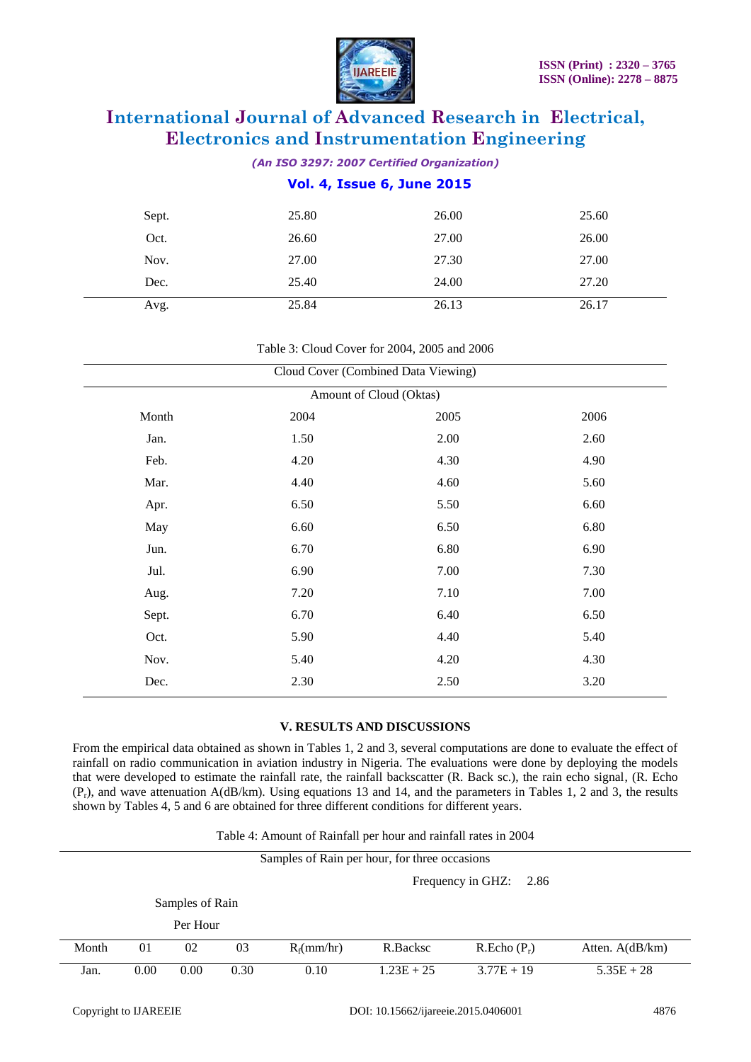

*(An ISO 3297: 2007 Certified Organization)*

#### **Vol. 4, Issue 6, June 2015**

| Sept. | 25.80 | 26.00 | 25.60 |
|-------|-------|-------|-------|
| Oct.  | 26.60 | 27.00 | 26.00 |
| Nov.  | 27.00 | 27.30 | 27.00 |
| Dec.  | 25.40 | 24.00 | 27.20 |
| Avg.  | 25.84 | 26.13 | 26.17 |

#### Table 3: Cloud Cover for 2004, 2005 and 2006

| Cloud Cover (Combined Data Viewing) |      |      |      |  |  |  |  |  |  |
|-------------------------------------|------|------|------|--|--|--|--|--|--|
| Amount of Cloud (Oktas)             |      |      |      |  |  |  |  |  |  |
| Month                               | 2004 | 2005 | 2006 |  |  |  |  |  |  |
| Jan.                                | 1.50 | 2.00 | 2.60 |  |  |  |  |  |  |
| Feb.                                | 4.20 | 4.30 | 4.90 |  |  |  |  |  |  |
| Mar.                                | 4.40 | 4.60 | 5.60 |  |  |  |  |  |  |
| Apr.                                | 6.50 | 5.50 | 6.60 |  |  |  |  |  |  |
| May                                 | 6.60 | 6.50 | 6.80 |  |  |  |  |  |  |
| Jun.                                | 6.70 | 6.80 | 6.90 |  |  |  |  |  |  |
| Jul.                                | 6.90 | 7.00 | 7.30 |  |  |  |  |  |  |
| Aug.                                | 7.20 | 7.10 | 7.00 |  |  |  |  |  |  |
| Sept.                               | 6.70 | 6.40 | 6.50 |  |  |  |  |  |  |
| Oct.                                | 5.90 | 4.40 | 5.40 |  |  |  |  |  |  |
| Nov.                                | 5.40 | 4.20 | 4.30 |  |  |  |  |  |  |
| Dec.                                | 2.30 | 2.50 | 3.20 |  |  |  |  |  |  |

#### **V. RESULTS AND DISCUSSIONS**

From the empirical data obtained as shown in Tables 1, 2 and 3, several computations are done to evaluate the effect of rainfall on radio communication in aviation industry in Nigeria. The evaluations were done by deploying the models that were developed to estimate the rainfall rate, the rainfall backscatter (R. Back sc.), the rain echo signal, (R. Echo  $(P_r)$ , and wave attenuation A(dB/km). Using equations 13 and 14, and the parameters in Tables 1, 2 and 3, the results shown by Tables 4, 5 and 6 are obtained for three different conditions for different years.

| Table 4: Amount of Rainfall per hour and rainfall rates in 2004 |  |  |
|-----------------------------------------------------------------|--|--|
|                                                                 |  |  |
|                                                                 |  |  |

|       | Samples of Rain per hour, for three occasions |          |      |               |              |               |                    |  |  |  |  |
|-------|-----------------------------------------------|----------|------|---------------|--------------|---------------|--------------------|--|--|--|--|
|       | Frequency in GHZ:<br>2.86                     |          |      |               |              |               |                    |  |  |  |  |
|       | Samples of Rain                               |          |      |               |              |               |                    |  |  |  |  |
|       |                                               | Per Hour |      |               |              |               |                    |  |  |  |  |
| Month | 01                                            | 02       | 03   | $R_f$ (mm/hr) | R.Backsc     | $R.Echo(P_r)$ | Atten. $A$ (dB/km) |  |  |  |  |
| Jan.  | 0.00                                          | 0.00     | 0.30 | 0.10          | $1.23E + 25$ | $3.77E + 19$  | $5.35E + 28$       |  |  |  |  |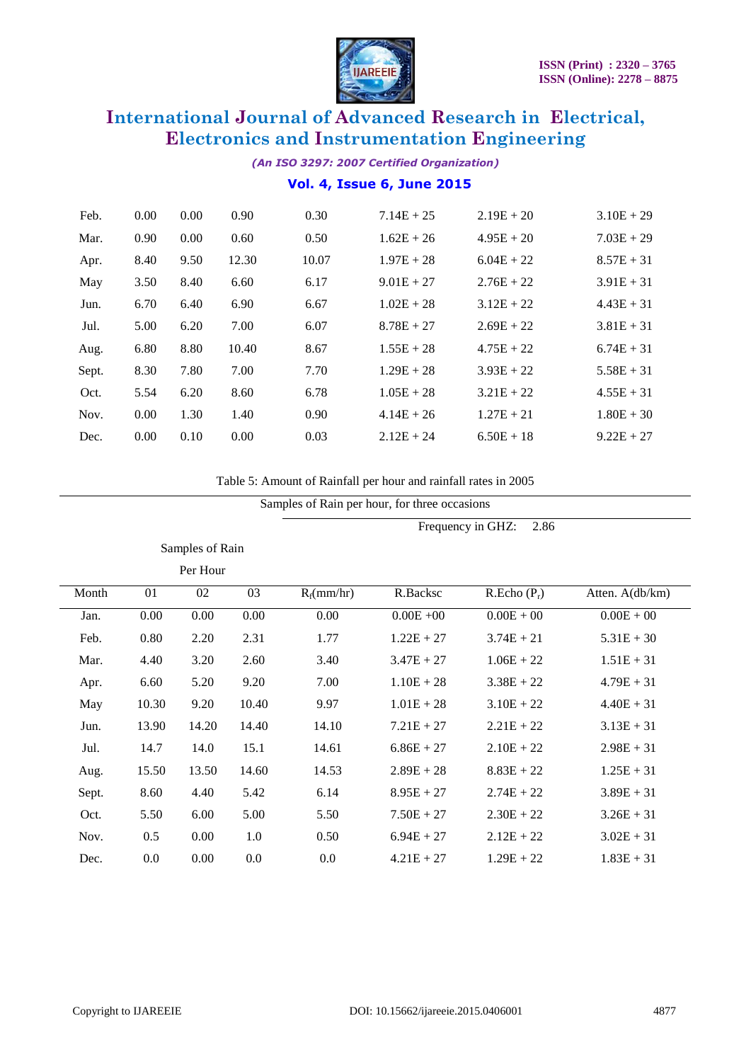

*(An ISO 3297: 2007 Certified Organization)*

### **Vol. 4, Issue 6, June 2015**

| Feb.  | 0.00 | 0.00 | 0.90  | 0.30  | $7.14E + 25$ | $2.19E + 20$ | $3.10E + 29$ |
|-------|------|------|-------|-------|--------------|--------------|--------------|
| Mar.  | 0.90 | 0.00 | 0.60  | 0.50  | $1.62E + 26$ | $4.95E + 20$ | $7.03E + 29$ |
| Apr.  | 8.40 | 9.50 | 12.30 | 10.07 | $1.97E + 28$ | $6.04E + 22$ | $8.57E + 31$ |
| May   | 3.50 | 8.40 | 6.60  | 6.17  | $9.01E + 27$ | $2.76E + 22$ | $3.91E + 31$ |
| Jun.  | 6.70 | 6.40 | 6.90  | 6.67  | $1.02E + 28$ | $3.12E + 22$ | $4.43E + 31$ |
| Jul.  | 5.00 | 6.20 | 7.00  | 6.07  | $8.78E + 27$ | $2.69E + 22$ | $3.81E + 31$ |
| Aug.  | 6.80 | 8.80 | 10.40 | 8.67  | $1.55E + 28$ | $4.75E + 22$ | $6.74E + 31$ |
| Sept. | 8.30 | 7.80 | 7.00  | 7.70  | $1.29E + 28$ | $3.93E + 22$ | $5.58E + 31$ |
| Oct.  | 5.54 | 6.20 | 8.60  | 6.78  | $1.05E + 28$ | $3.21E + 22$ | $4.55E + 31$ |
| Nov.  | 0.00 | 1.30 | 1.40  | 0.90  | $4.14E + 26$ | $1.27E + 21$ | $1.80E + 30$ |
| Dec.  | 0.00 | 0.10 | 0.00  | 0.03  | $2.12E + 24$ | $6.50E + 18$ | $9.22E + 27$ |
|       |      |      |       |       |              |              |              |

Table 5: Amount of Rainfall per hour and rainfall rates in 2005

| Samples of Rain per hour, for three occasions |                           |                 |       |               |              |               |                 |  |  |  |
|-----------------------------------------------|---------------------------|-----------------|-------|---------------|--------------|---------------|-----------------|--|--|--|
|                                               | Frequency in GHZ:<br>2.86 |                 |       |               |              |               |                 |  |  |  |
|                                               |                           | Samples of Rain |       |               |              |               |                 |  |  |  |
|                                               |                           | Per Hour        |       |               |              |               |                 |  |  |  |
| Month                                         | 01                        | 02              | 03    | $R_f$ (mm/hr) | R.Backsc     | $R.Echo(P_r)$ | Atten. A(db/km) |  |  |  |
| Jan.                                          | 0.00                      | 0.00            | 0.00  | 0.00          | $0.00E + 00$ | $0.00E + 00$  | $0.00E + 00$    |  |  |  |
| Feb.                                          | 0.80                      | 2.20            | 2.31  | 1.77          | $1.22E + 27$ | $3.74E + 21$  | $5.31E + 30$    |  |  |  |
| Mar.                                          | 4.40                      | 3.20            | 2.60  | 3.40          | $3.47E + 27$ | $1.06E + 22$  | $1.51E + 31$    |  |  |  |
| Apr.                                          | 6.60                      | 5.20            | 9.20  | 7.00          | $1.10E + 28$ | $3.38E + 22$  | $4.79E + 31$    |  |  |  |
| May                                           | 10.30                     | 9.20            | 10.40 | 9.97          | $1.01E + 28$ | $3.10E + 22$  | $4.40E + 31$    |  |  |  |
| Jun.                                          | 13.90                     | 14.20           | 14.40 | 14.10         | $7.21E + 27$ | $2.21E + 22$  | $3.13E + 31$    |  |  |  |
| Jul.                                          | 14.7                      | 14.0            | 15.1  | 14.61         | $6.86E + 27$ | $2.10E + 22$  | $2.98E + 31$    |  |  |  |
| Aug.                                          | 15.50                     | 13.50           | 14.60 | 14.53         | $2.89E + 28$ | $8.83E + 22$  | $1.25E + 31$    |  |  |  |
| Sept.                                         | 8.60                      | 4.40            | 5.42  | 6.14          | $8.95E + 27$ | $2.74E + 22$  | $3.89E + 31$    |  |  |  |
| Oct.                                          | 5.50                      | 6.00            | 5.00  | 5.50          | $7.50E + 27$ | $2.30E + 22$  | $3.26E + 31$    |  |  |  |
| Nov.                                          | 0.5                       | 0.00            | 1.0   | 0.50          | $6.94E + 27$ | $2.12E + 22$  | $3.02E + 31$    |  |  |  |
| Dec.                                          | 0.0                       | 0.00            | 0.0   | $0.0\,$       | $4.21E + 27$ | $1.29E + 22$  | $1.83E + 31$    |  |  |  |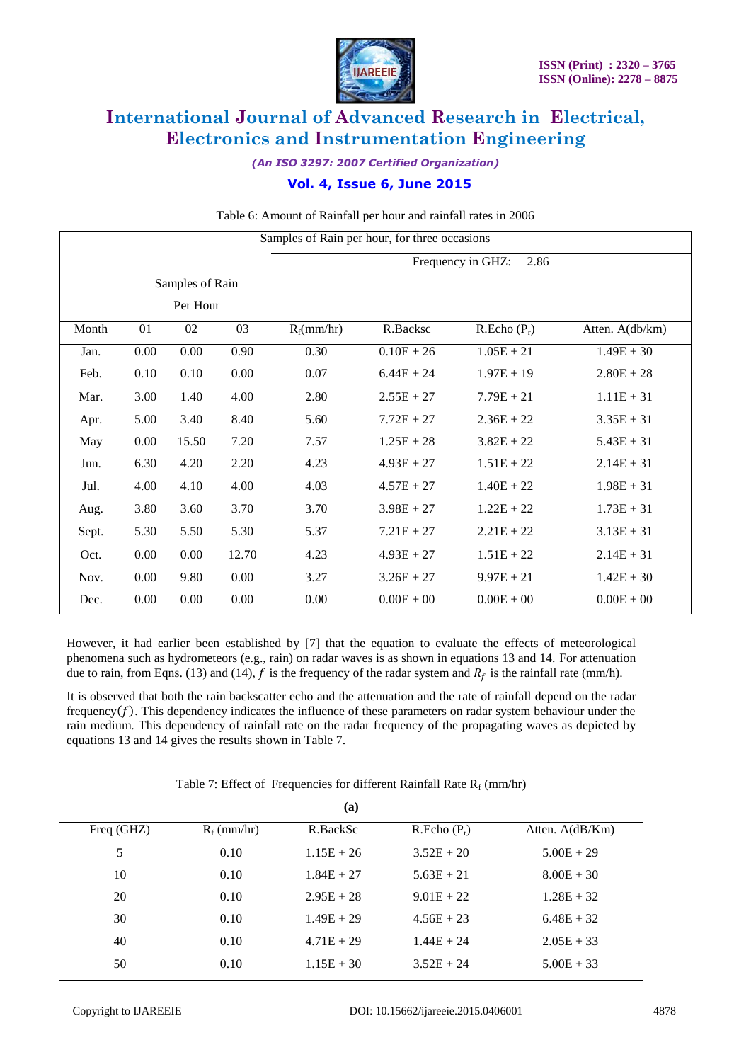

*(An ISO 3297: 2007 Certified Organization)*

### **Vol. 4, Issue 6, June 2015**

Table 6: Amount of Rainfall per hour and rainfall rates in 2006

|       | Samples of Rain per hour, for three occasions |                 |       |               |              |               |                 |  |  |  |  |
|-------|-----------------------------------------------|-----------------|-------|---------------|--------------|---------------|-----------------|--|--|--|--|
|       | 2.86<br>Frequency in GHZ:                     |                 |       |               |              |               |                 |  |  |  |  |
|       |                                               | Samples of Rain |       |               |              |               |                 |  |  |  |  |
|       |                                               | Per Hour        |       |               |              |               |                 |  |  |  |  |
| Month | 01                                            | 02              | 03    | $R_f$ (mm/hr) | R.Backsc     | $R.Echo(P_r)$ | Atten. A(db/km) |  |  |  |  |
| Jan.  | 0.00                                          | 0.00            | 0.90  | 0.30          | $0.10E + 26$ | $1.05E + 21$  | $1.49E + 30$    |  |  |  |  |
| Feb.  | 0.10                                          | 0.10            | 0.00  | 0.07          | $6.44E + 24$ | $1.97E + 19$  | $2.80E + 28$    |  |  |  |  |
| Mar.  | 3.00                                          | 1.40            | 4.00  | 2.80          | $2.55E + 27$ | $7.79E + 21$  | $1.11E + 31$    |  |  |  |  |
| Apr.  | 5.00                                          | 3.40            | 8.40  | 5.60          | $7.72E + 27$ | $2.36E + 22$  | $3.35E + 31$    |  |  |  |  |
| May   | 0.00                                          | 15.50           | 7.20  | 7.57          | $1.25E + 28$ | $3.82E + 22$  | $5.43E + 31$    |  |  |  |  |
| Jun.  | 6.30                                          | 4.20            | 2.20  | 4.23          | $4.93E + 27$ | $1.51E + 22$  | $2.14E + 31$    |  |  |  |  |
| Jul.  | 4.00                                          | 4.10            | 4.00  | 4.03          | $4.57E + 27$ | $1.40E + 22$  | $1.98E + 31$    |  |  |  |  |
| Aug.  | 3.80                                          | 3.60            | 3.70  | 3.70          | $3.98E + 27$ | $1.22E + 22$  | $1.73E + 31$    |  |  |  |  |
| Sept. | 5.30                                          | 5.50            | 5.30  | 5.37          | $7.21E + 27$ | $2.21E + 22$  | $3.13E + 31$    |  |  |  |  |
| Oct.  | 0.00                                          | 0.00            | 12.70 | 4.23          | $4.93E + 27$ | $1.51E + 22$  | $2.14E + 31$    |  |  |  |  |
| Nov.  | 0.00                                          | 9.80            | 0.00  | 3.27          | $3.26E + 27$ | $9.97E + 21$  | $1.42E + 30$    |  |  |  |  |
| Dec.  | 0.00                                          | 0.00            | 0.00  | 0.00          | $0.00E + 00$ | $0.00E + 00$  | $0.00E + 00$    |  |  |  |  |

However, it had earlier been established by [7] that the equation to evaluate the effects of meteorological phenomena such as hydrometeors (e.g., rain) on radar waves is as shown in equations 13 and 14. For attenuation due to rain, from Eqns. (13) and (14), f is the frequency of the radar system and  $R_f$  is the rainfall rate (mm/h).

It is observed that both the rain backscatter echo and the attenuation and the rate of rainfall depend on the radar frequency  $(f)$ . This dependency indicates the influence of these parameters on radar system behaviour under the rain medium. This dependency of rainfall rate on the radar frequency of the propagating waves as depicted by equations 13 and 14 gives the results shown in Table 7.

|            |               | (a)          |               |                    |  |
|------------|---------------|--------------|---------------|--------------------|--|
| Freq (GHZ) | $R_f$ (mm/hr) | R.BackSc     | $R.Echo(P_r)$ | Atten. $A$ (dB/Km) |  |
| 5          | 0.10          | $1.15E + 26$ | $3.52E + 20$  | $5.00E + 29$       |  |
| 10         | 0.10          | $1.84E + 27$ | $5.63E + 21$  | $8.00E + 30$       |  |
| 20         | 0.10          | $2.95E + 28$ | $9.01E + 22$  | $1.28E + 32$       |  |
| 30         | 0.10          | $1.49E + 29$ | $4.56E + 23$  | $6.48E + 32$       |  |
| 40         | 0.10          | $4.71E + 29$ | $1.44E + 24$  | $2.05E + 33$       |  |
| 50         | 0.10          | $1.15E + 30$ | $3.52E + 24$  | $5.00E + 33$       |  |
|            |               |              |               |                    |  |

Table 7: Effect of Frequencies for different Rainfall Rate  $R_f$  (mm/hr) **(a)**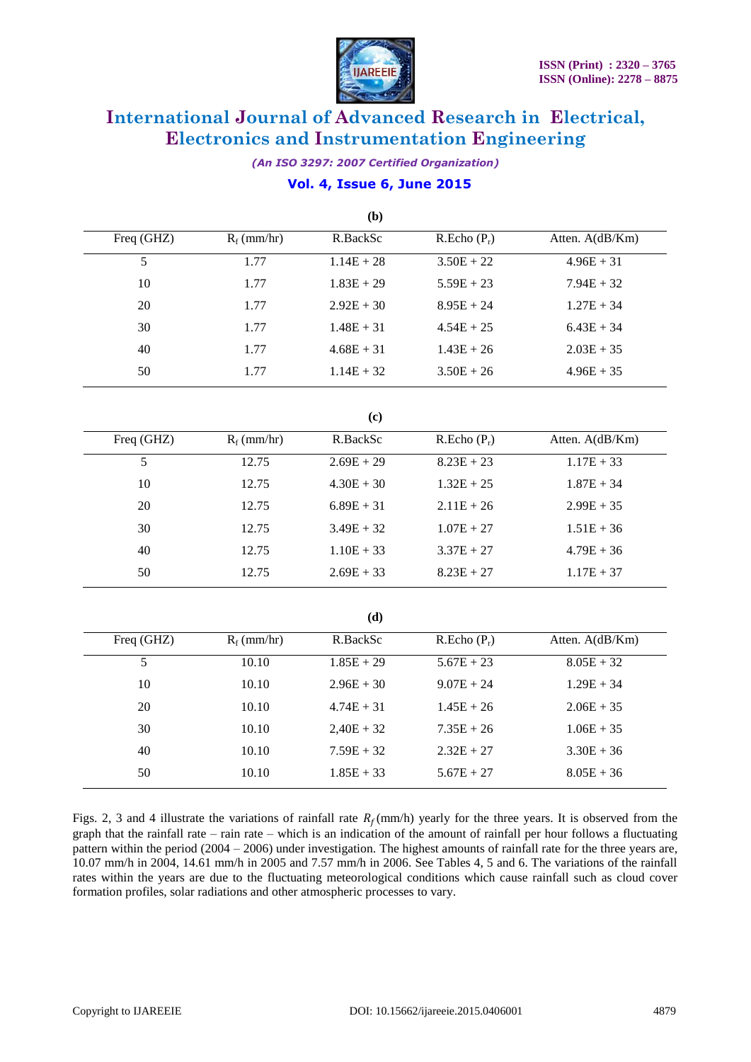

*(An ISO 3297: 2007 Certified Organization)*

### **Vol. 4, Issue 6, June 2015**

|                |               | (b)          |                         |                 |
|----------------|---------------|--------------|-------------------------|-----------------|
| Freq (GHZ)     | $R_f$ (mm/hr) | R.BackSc     | R.Echo(P <sub>r</sub> ) | Atten. A(dB/Km) |
| $\overline{5}$ | 1.77          | $1.14E + 28$ | $3.50E + 22$            | $4.96E + 31$    |
| 10             | 1.77          | $1.83E + 29$ | $5.59E + 23$            | $7.94E + 32$    |
| 20             | 1.77          | $2.92E + 30$ | $8.95E + 24$            | $1.27E + 34$    |
| 30             | 1.77          | $1.48E + 31$ | $4.54E + 25$            | $6.43E + 34$    |
| 40             | 1.77          | $4.68E + 31$ | $1.43E + 26$            | $2.03E + 35$    |
| 50             | 1.77          | $1.14E + 32$ | $3.50E + 26$            | $4.96E + 35$    |
|                |               | (c)          |                         |                 |
| Freq (GHZ)     | $R_f$ (mm/hr) | R.BackSc     | R.Echo(P <sub>r</sub> ) | Atten. A(dB/Km) |
| $\overline{5}$ | 12.75         | $2.69E + 29$ | $8.23E + 23$            | $1.17E + 33$    |
| 10             | 12.75         | $4.30E + 30$ | $1.32E + 25$            | $1.87E + 34$    |
| 20             | 12.75         | $6.89E + 31$ | $2.11E + 26$            | $2.99E + 35$    |
| 30             | 12.75         | $3.49E + 32$ | $1.07E + 27$            | $1.51E + 36$    |
| 40             | 12.75         | $1.10E + 33$ | $3.37E + 27$            | $4.79E + 36$    |
| 50             | 12.75         | $2.69E + 33$ | $8.23E + 27$            | $1.17E + 37$    |
|                |               | (d)          |                         |                 |
| Freq (GHZ)     | $R_f$ (mm/hr) | R.BackSc     | R.Echo(P <sub>r</sub> ) | Atten. A(dB/Km) |
| $\overline{5}$ | 10.10         | $1.85E + 29$ | $5.67E + 23$            | $8.05E + 32$    |
| 10             | 10.10         | $2.96E + 30$ | $9.07E + 24$            | $1.29E + 34$    |
| 20             | 10.10         | $4.74E + 31$ | $1.45E + 26$            | $2.06E + 35$    |
| 30             | 10.10         | $2,40E + 32$ | $7.35E + 26$            | $1.06E + 35$    |
| 40             | 10.10         | $7.59E + 32$ | $2.32E + 27$            | $3.30E + 36$    |
| 50             | 10.10         | $1.85E + 33$ | $5.67E + 27$            | $8.05E + 36$    |

Figs. 2, 3 and 4 illustrate the variations of rainfall rate  $R_f$ (mm/h) yearly for the three years. It is observed from the graph that the rainfall rate – rain rate – which is an indication of the amount of rainfall per hour follows a fluctuating pattern within the period (2004 – 2006) under investigation. The highest amounts of rainfall rate for the three years are, 10.07 mm/h in 2004, 14.61 mm/h in 2005 and 7.57 mm/h in 2006. See Tables 4, 5 and 6. The variations of the rainfall rates within the years are due to the fluctuating meteorological conditions which cause rainfall such as cloud cover formation profiles, solar radiations and other atmospheric processes to vary.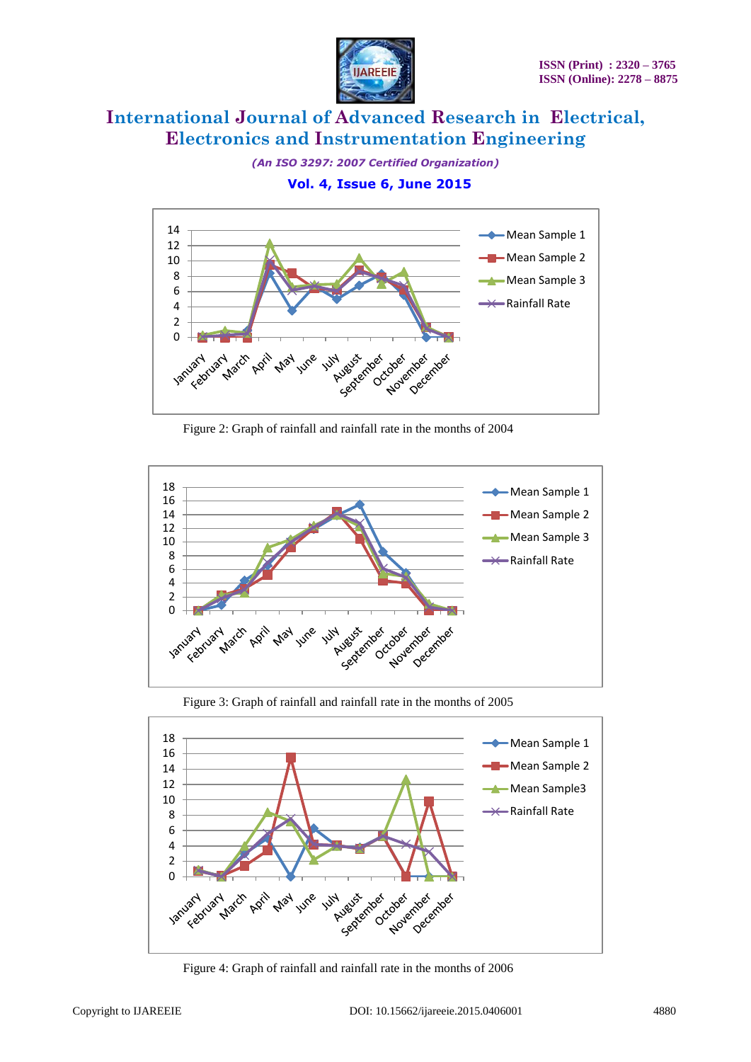

*(An ISO 3297: 2007 Certified Organization)*

 **Vol. 4, Issue 6, June 2015**



Figure 2: Graph of rainfall and rainfall rate in the months of 2004



Figure 3: Graph of rainfall and rainfall rate in the months of 2005



Figure 4: Graph of rainfall and rainfall rate in the months of 2006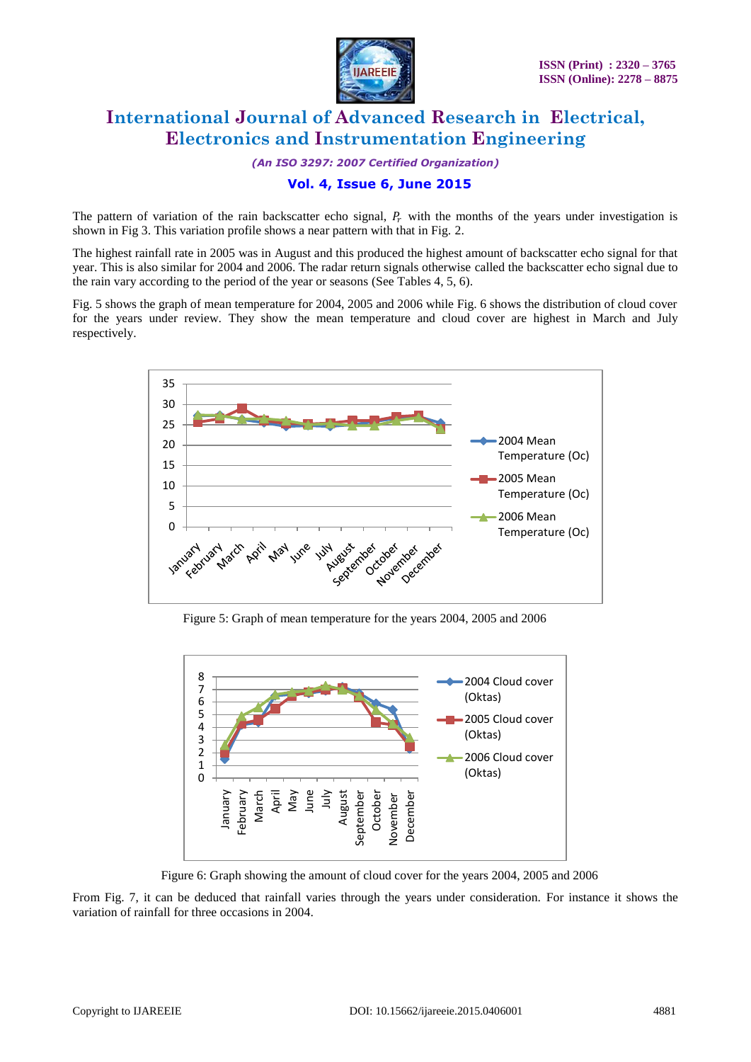

*(An ISO 3297: 2007 Certified Organization)*

### **Vol. 4, Issue 6, June 2015**

The pattern of variation of the rain backscatter echo signal,  $P<sub>r</sub>$  with the months of the years under investigation is shown in Fig 3. This variation profile shows a near pattern with that in Fig. 2.

The highest rainfall rate in 2005 was in August and this produced the highest amount of backscatter echo signal for that year. This is also similar for 2004 and 2006. The radar return signals otherwise called the backscatter echo signal due to the rain vary according to the period of the year or seasons (See Tables 4, 5, 6).

Fig. 5 shows the graph of mean temperature for 2004, 2005 and 2006 while Fig. 6 shows the distribution of cloud cover for the years under review. They show the mean temperature and cloud cover are highest in March and July respectively.



Figure 5: Graph of mean temperature for the years 2004, 2005 and 2006



Figure 6: Graph showing the amount of cloud cover for the years 2004, 2005 and 2006

From Fig. 7, it can be deduced that rainfall varies through the years under consideration. For instance it shows the variation of rainfall for three occasions in 2004.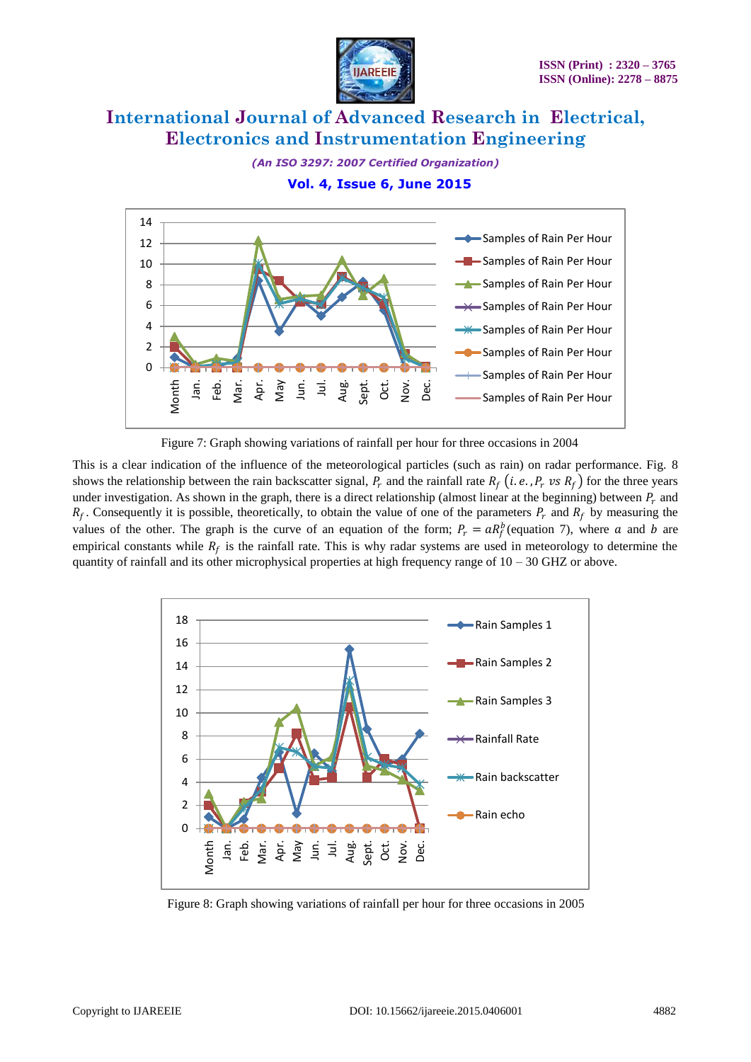

*(An ISO 3297: 2007 Certified Organization)*

 **Vol. 4, Issue 6, June 2015**



Figure 7: Graph showing variations of rainfall per hour for three occasions in 2004

This is a clear indication of the influence of the meteorological particles (such as rain) on radar performance. Fig. 8 shows the relationship between the rain backscatter signal,  $P_r$  and the rainfall rate  $R_f$  (*i.e.*,  $P_r$  *vs*  $R_f$ ) for the three years under investigation. As shown in the graph, there is a direct relationship (almost linear at the beginning) between  $P_r$  and  $R_f$ . Consequently it is possible, theoretically, to obtain the value of one of the parameters  $P_r$  and  $R_f$  by measuring the values of the other. The graph is the curve of an equation of the form;  $P_r = aR_f^b$  (equation 7), where a and b are empirical constants while  $R_f$  is the rainfall rate. This is why radar systems are used in meteorology to determine the quantity of rainfall and its other microphysical properties at high frequency range of  $10 - 30$  GHZ or above.



Figure 8: Graph showing variations of rainfall per hour for three occasions in 2005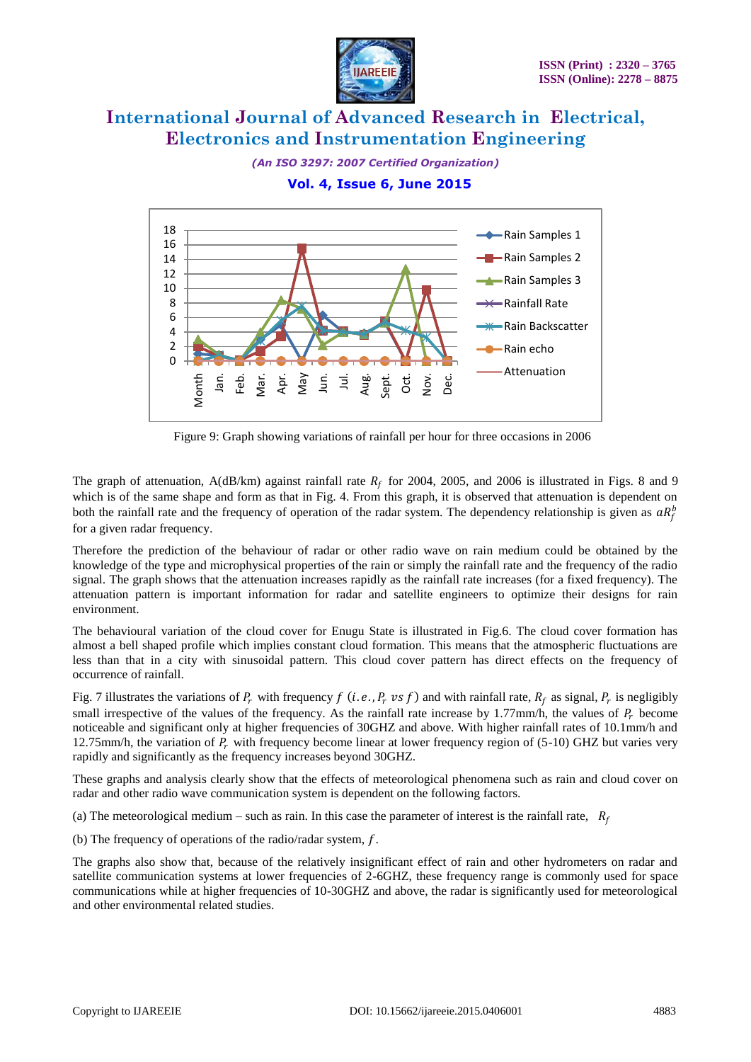

*(An ISO 3297: 2007 Certified Organization)*

 **Vol. 4, Issue 6, June 2015**



Figure 9: Graph showing variations of rainfall per hour for three occasions in 2006

The graph of attenuation, A(dB/km) against rainfall rate  $R_f$  for 2004, 2005, and 2006 is illustrated in Figs. 8 and 9 which is of the same shape and form as that in Fig. 4. From this graph, it is observed that attenuation is dependent on both the rainfall rate and the frequency of operation of the radar system. The dependency relationship is given as  $aR_f^b$ for a given radar frequency.

Therefore the prediction of the behaviour of radar or other radio wave on rain medium could be obtained by the knowledge of the type and microphysical properties of the rain or simply the rainfall rate and the frequency of the radio signal. The graph shows that the attenuation increases rapidly as the rainfall rate increases (for a fixed frequency). The attenuation pattern is important information for radar and satellite engineers to optimize their designs for rain environment.

The behavioural variation of the cloud cover for Enugu State is illustrated in Fig.6. The cloud cover formation has almost a bell shaped profile which implies constant cloud formation. This means that the atmospheric fluctuations are less than that in a city with sinusoidal pattern. This cloud cover pattern has direct effects on the frequency of occurrence of rainfall.

Fig. 7 illustrates the variations of  $P_r$  with frequency f (*i.e.*,  $P_r$  vs f) and with rainfall rate,  $R_f$  as signal,  $P_r$  is negligibly small irrespective of the values of the frequency. As the rainfall rate increase by 1.77mm/h, the values of  $P_r$  become noticeable and significant only at higher frequencies of 30GHZ and above. With higher rainfall rates of 10.1mm/h and 12.75mm/h, the variation of  $P_r$  with frequency become linear at lower frequency region of (5-10) GHZ but varies very rapidly and significantly as the frequency increases beyond 30GHZ.

These graphs and analysis clearly show that the effects of meteorological phenomena such as rain and cloud cover on radar and other radio wave communication system is dependent on the following factors.

(a) The meteorological medium – such as rain. In this case the parameter of interest is the rainfall rate,  $R_f$ 

(b) The frequency of operations of the radio/radar system,  $f$ .

The graphs also show that, because of the relatively insignificant effect of rain and other hydrometers on radar and satellite communication systems at lower frequencies of 2-6GHZ, these frequency range is commonly used for space communications while at higher frequencies of 10-30GHZ and above, the radar is significantly used for meteorological and other environmental related studies.